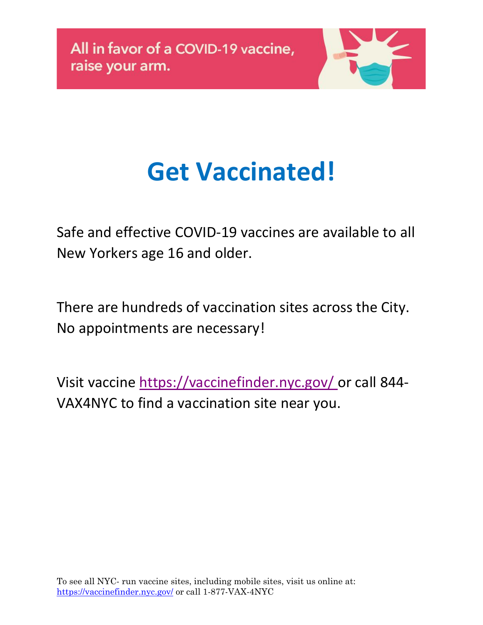

# **Get Vaccinated!**

Safe and effective COVID-19 vaccines are available to all New Yorkers age 16 and older.

There are hundreds of vaccination sites across the City. No appointments are necessary!

Visit vaccine <https://vaccinefinder.nyc.gov/> or call 844- VAX4NYC to find a vaccination site near you.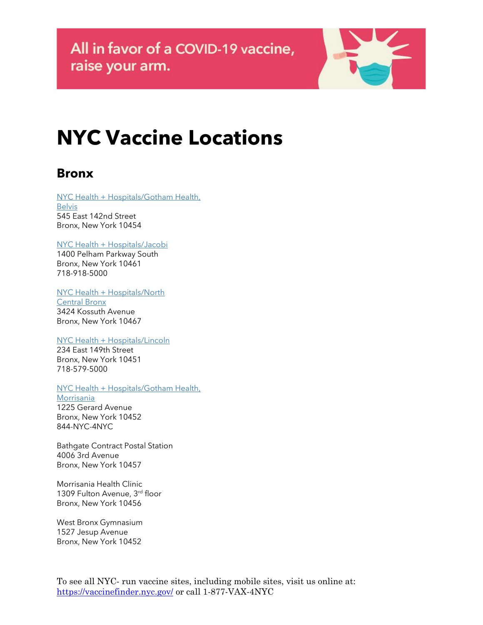

# **NYC Vaccine Locations**

### **Bronx**

NYC Health + [Hospitals/Gotham](https://www.nychealthandhospitals.org/belvis) Health, [Belvis](https://www.nychealthandhospitals.org/belvis) 545 East 142nd Street Bronx, New York 10454

### NYC Health + [Hospitals/Jacobi](https://www.nychealthandhospitals.org/jacobi)

1400 Pelham Parkway South Bronx, New York 10461 718-918-5000

### NYC Health + [Hospitals/North](https://www.nychealthandhospitals.org/northcentralbronx)

[Central](https://www.nychealthandhospitals.org/northcentralbronx) Bronx 3424 Kossuth Avenue Bronx, New York 10467

### NYC Health + [Hospitals/Lincoln](https://www.nychealthandhospitals.org/lincoln)

234 East 149th Street Bronx, New York 10451 718-579-5000

### NYC Health + [Hospitals/Gotham](https://www.nychealthandhospitals.org/morrisania) Health,

[Morrisania](https://www.nychealthandhospitals.org/morrisania) 1225 Gerard Avenue

Bronx, New York 10452 844-NYC-4NYC

Bathgate Contract Postal Station 4006 3rd Avenue Bronx, New York 10457

Morrisania Health Clinic 1309 Fulton Avenue, 3rd floor Bronx, New York 10456

West Bronx Gymnasium 1527 Jesup Avenue Bronx, New York 10452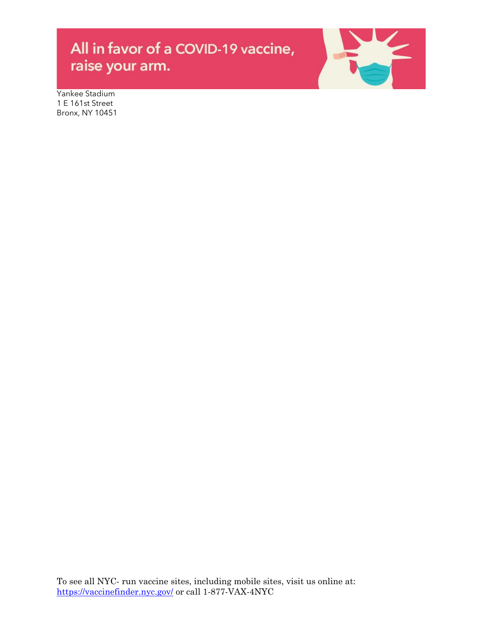

Yankee Stadium 1 E 161st Street Bronx, NY 10451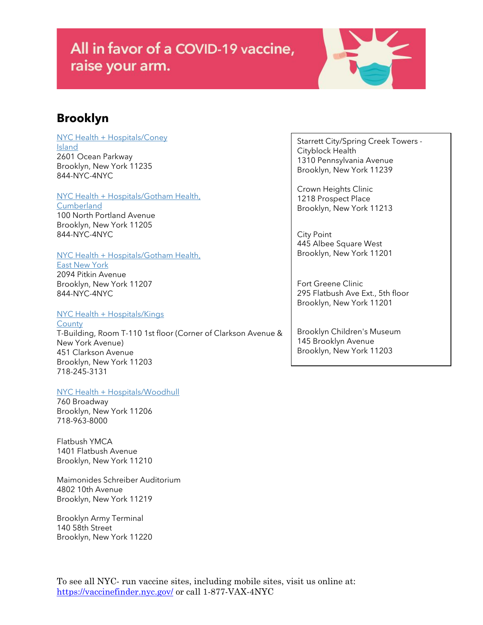

### **Brooklyn**

### NYC Health + [Hospitals/Coney](https://www.nychealthandhospitals.org/coneyisland) [Island](https://www.nychealthandhospitals.org/coneyisland) 2601 Ocean Parkway Brooklyn, New York 11235 844-NYC-4NYC

### NYC Health + [Hospitals/Gotham](https://www.nychealthandhospitals.org/cumberland) Health,

**[Cumberland](https://www.nychealthandhospitals.org/cumberland)** 100 North Portland Avenue Brooklyn, New York 11205 844-NYC-4NYC

### NYC Health + [Hospitals/Gotham](https://www.nychealthandhospitals.org/eastnewyork) Health,

East [New](https://www.nychealthandhospitals.org/eastnewyork) York 2094 Pitkin Avenue Brooklyn, New York 11207 844-NYC-4NYC

### NYC Health + [Hospitals/Kings](https://www.nychealthandhospitals.org/kingscounty)

**[County](https://www.nychealthandhospitals.org/kingscounty)** T-Building, Room T-110 1st floor (Corner of Clarkson Avenue & New York Avenue) 451 Clarkson Avenue Brooklyn, New York 11203 718-245-3131

### NYC Health + [Hospitals/Woodhull](https://www.nychealthandhospitals.org/woodhull)

760 Broadway Brooklyn, New York 11206 718-963-8000

Flatbush YMCA 1401 Flatbush Avenue Brooklyn, New York 11210

Maimonides Schreiber Auditorium 4802 10th Avenue Brooklyn, New York 11219

Brooklyn Army Terminal 140 58th Street Brooklyn, New York 11220 Starrett City/Spring Creek Towers - Cityblock Health 1310 Pennsylvania Avenue Brooklyn, New York 11239

Crown Heights Clinic 1218 Prospect Place Brooklyn, New York 11213

City Point 445 Albee Square West Brooklyn, New York 11201

Fort Greene Clinic 295 Flatbush Ave Ext., 5th floor Brooklyn, New York 11201

Brooklyn Children's Museum 145 Brooklyn Avenue Brooklyn, New York 11203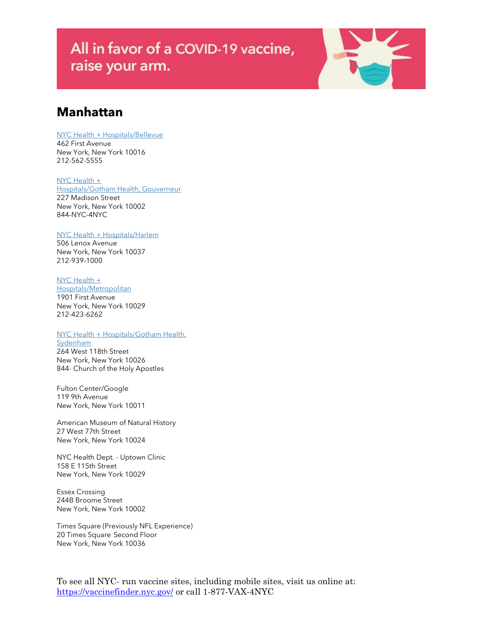

### **Manhattan**

### NYC Health + [Hospitals/Bellevue](https://www.nychealthandhospitals.org/bellevue)

462 First Avenue New York, New York 10016 212-562-5555

#### NYC [Health](https://www.nychealthandhospitals.org/gothamhealth/gouverneur) +

[Hospitals/Gotham](https://www.nychealthandhospitals.org/gothamhealth/gouverneur) Health, Gouverneur 227 Madison Street New York, New York 10002 844-NYC-4NYC

#### NYC Health + [Hospitals/Harlem](https://www.nychealthandhospitals.org/harlem)

506 Lenox Avenue New York, New York 10037 212-939-1000

#### NYC [Health](https://www.nychealthandhospitals.org/metropolitan) +

[Hospitals/Metropolitan](https://www.nychealthandhospitals.org/metropolitan) 1901 First Avenue New York, New York 10029 212-423-6262

#### NYC Health + [Hospitals/Gotham](https://www.nychealthandhospitals.org/sydenham) Health, **[Sydenham](https://www.nychealthandhospitals.org/sydenham)**

264 West 118th Street New York, New York 10026 844- Church of the Holy Apostles

Fulton Center/Google 119 9th Avenue New York, New York 10011

American Museum of Natural History 27 West 77th Street New York, New York 10024

NYC Health Dept. - Uptown Clinic 158 E 115th Street New York, New York 10029

Essex Crossing 244B Broome Street New York, New York 10002

Times Square (Previously NFL Experience) 20 Times Square Second Floor New York, New York 10036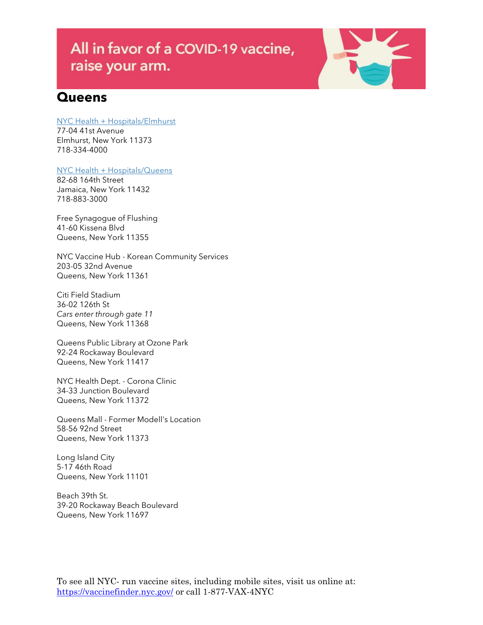

### **Queens**

### NYC Health + [Hospitals/Elmhurst](https://www.nychealthandhospitals.org/elmhurst)

77-04 41st Avenue Elmhurst, New York 11373 718-334-4000

### NYC Health + [Hospitals/Queens](https://www.nychealthandhospitals.org/queens)

82-68 164th Street Jamaica, New York 11432 718-883-3000

Free Synagogue of Flushing 41-60 Kissena Blvd Queens, New York 11355

NYC Vaccine Hub - Korean Community Services 203-05 32nd Avenue Queens, New York 11361

Citi Field Stadium 36-02 126th St *Cars enter through gate 11* Queens, New York 11368

Queens Public Library at Ozone Park 92-24 Rockaway Boulevard Queens, New York 11417

NYC Health Dept. - Corona Clinic 34-33 Junction Boulevard Queens, New York 11372

Queens Mall - Former Modell's Location 58-56 92nd Street Queens, New York 11373

Long Island City 5-17 46th Road Queens, New York 11101

Beach 39th St. 39-20 Rockaway Beach Boulevard Queens, New York 11697